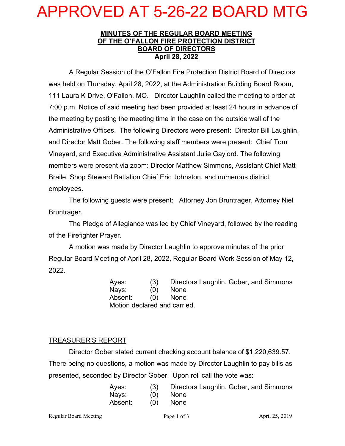# APPROVED AT 5-26-22 BOARD MTG

#### **MINUTES OF THE REGULAR BOARD MEETING OF THE O'FALLON FIRE PROTECTION DISTRICT BOARD OF DIRECTORS April 28, 2022**

A Regular Session of the O'Fallon Fire Protection District Board of Directors was held on Thursday, April 28, 2022, at the Administration Building Board Room, 111 Laura K Drive, O'Fallon, MO. Director Laughlin called the meeting to order at 7:00 p.m. Notice of said meeting had been provided at least 24 hours in advance of the meeting by posting the meeting time in the case on the outside wall of the Administrative Offices. The following Directors were present: Director Bill Laughlin, and Director Matt Gober. The following staff members were present: Chief Tom Vineyard, and Executive Administrative Assistant Julie Gaylord. The following members were present via zoom: Director Matthew Simmons, Assistant Chief Matt Braile, Shop Steward Battalion Chief Eric Johnston, and numerous district employees.

The following guests were present: Attorney Jon Bruntrager, Attorney Niel Bruntrager.

The Pledge of Allegiance was led by Chief Vineyard, followed by the reading of the Firefighter Prayer.

A motion was made by Director Laughlin to approve minutes of the prior Regular Board Meeting of April 28, 2022, Regular Board Work Session of May 12, 2022.

> Ayes: (3) Directors Laughlin, Gober, and Simmons Nays: (0) None Absent: (0) None Motion declared and carried.

## TREASURER'S REPORT

Director Gober stated current checking account balance of \$1,220,639.57. There being no questions, a motion was made by Director Laughlin to pay bills as presented, seconded by Director Gober. Upon roll call the vote was:

| Ayes:   | (3) | Directors Laughlin, Gober, and Simmons |
|---------|-----|----------------------------------------|
| Nays:   | (0) | <b>None</b>                            |
| Absent: | (Q) | <b>None</b>                            |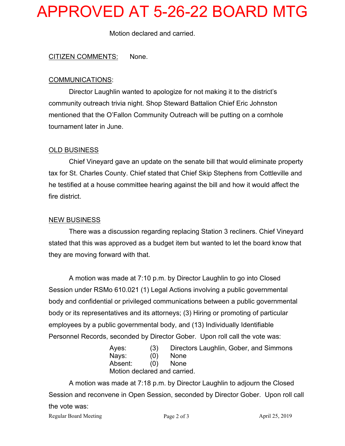# APPROVED AT 5-26-22 BOARD MTG

Motion declared and carried.

### CITIZEN COMMENTS: None.

#### COMMUNICATIONS:

Director Laughlin wanted to apologize for not making it to the district's community outreach trivia night. Shop Steward Battalion Chief Eric Johnston mentioned that the O'Fallon Community Outreach will be putting on a cornhole tournament later in June.

### OLD BUSINESS

Chief Vineyard gave an update on the senate bill that would eliminate property tax for St. Charles County. Chief stated that Chief Skip Stephens from Cottleville and he testified at a house committee hearing against the bill and how it would affect the fire district.

#### NEW BUSINESS

There was a discussion regarding replacing Station 3 recliners. Chief Vineyard stated that this was approved as a budget item but wanted to let the board know that they are moving forward with that.

A motion was made at 7:10 p.m. by Director Laughlin to go into Closed Session under RSMo 610.021 (1) Legal Actions involving a public governmental body and confidential or privileged communications between a public governmental body or its representatives and its attorneys; (3) Hiring or promoting of particular employees by a public governmental body, and (13) Individually Identifiable Personnel Records, seconded by Director Gober. Upon roll call the vote was:

| Aves: | (3)                          | Directors Laughlin, Gober, and Simmons |
|-------|------------------------------|----------------------------------------|
| Navs: | (O)                          | None                                   |
|       | Absent: (0) None             |                                        |
|       | Motion declared and carried. |                                        |

Regular Board Meeting Page 2 of 3 April 25, 2019 A motion was made at 7:18 p.m. by Director Laughlin to adjourn the Closed Session and reconvene in Open Session, seconded by Director Gober. Upon roll call the vote was: